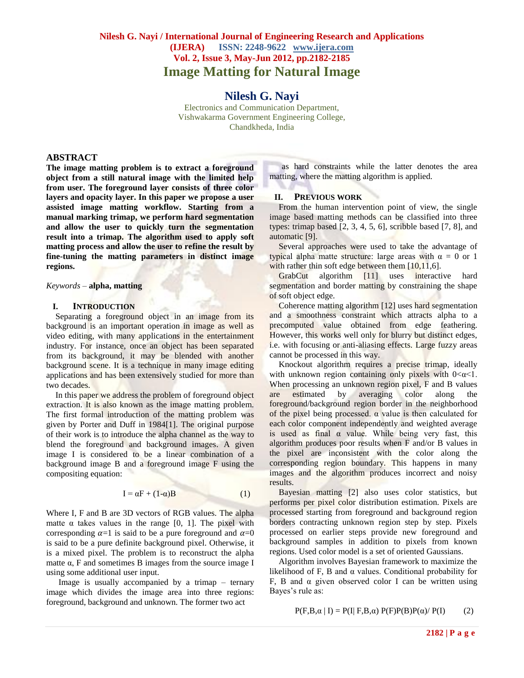# **Nilesh G. Nayi / International Journal of Engineering Research and Applications (IJERA) ISSN: 2248-9622 www.ijera.com Vol. 2, Issue 3, May-Jun 2012, pp.2182-2185 Image Matting for Natural Image**

**Nilesh G. Nayi**

Electronics and Communication Department, Vishwakarma Government Engineering College, Chandkheda, India

#### **ABSTRACT**

**The image matting problem is to extract a foreground object from a still natural image with the limited help from user. The foreground layer consists of three color layers and opacity layer. In this paper we propose a user assisted image matting workflow. Starting from a manual marking trimap, we perform hard segmentation and allow the user to quickly turn the segmentation result into a trimap. The algorithm used to apply soft matting process and allow the user to refine the result by fine-tuning the matting parameters in distinct image regions.**

*Keywords –* **alpha, matting**

#### **I. INTRODUCTION**

Separating a foreground object in an image from its background is an important operation in image as well as video editing, with many applications in the entertainment industry. For instance, once an object has been separated from its background, it may be blended with another background scene. It is a technique in many image editing applications and has been extensively studied for more than two decades.

In this paper we address the problem of foreground object extraction. It is also known as the image matting problem. The first formal introduction of the matting problem was given by Porter and Duff in 1984[1]. The original purpose of their work is to introduce the alpha channel as the way to blend the foreground and background images. A given image I is considered to be a linear combination of a background image B and a foreground image F using the compositing equation:

$$
\mathbf{I} = \alpha \mathbf{F} + (1 - \alpha) \mathbf{B} \tag{1}
$$

Where I, F and B are 3D vectors of RGB values. The alpha matte  $\alpha$  takes values in the range [0, 1]. The pixel with corresponding  $\alpha=1$  is said to be a pure foreground and  $\alpha=0$ is said to be a pure definite background pixel. Otherwise, it is a mixed pixel. The problem is to reconstruct the alpha matte  $\alpha$ , F and sometimes B images from the source image I using some additional user input.

Image is usually accompanied by a trimap – ternary image which divides the image area into three regions: foreground, background and unknown. The former two act

as hard constraints while the latter denotes the area matting, where the matting algorithm is applied.

#### **II. PREVIOUS WORK**

From the human intervention point of view, the single image based matting methods can be classified into three types: trimap based [2, 3, 4, 5, 6], scribble based [7, 8], and automatic [9].

Several approaches were used to take the advantage of typical alpha matte structure: large areas with  $\alpha = 0$  or 1 with rather thin soft edge between them [10,11,6].

GrabCut algorithm [11] uses interactive hard segmentation and border matting by constraining the shape of soft object edge.

Coherence matting algorithm [12] uses hard segmentation and a smoothness constraint which attracts alpha to a precomputed value obtained from edge feathering. However, this works well only for blurry but distinct edges, i.e. with focusing or anti-aliasing effects. Large fuzzy areas cannot be processed in this way.

Knockout algorithm requires a precise trimap, ideally with unknown region containing only pixels with  $0 < \alpha < 1$ . When processing an unknown region pixel, F and B values are estimated by averaging color along the foreground/background region border in the neighborhood of the pixel being processed.  $\alpha$  value is then calculated for each color component independently and weighted average is used as final  $\alpha$  value. While being very fast, this algorithm produces poor results when F and/or B values in the pixel are inconsistent with the color along the corresponding region boundary. This happens in many images and the algorithm produces incorrect and noisy results.

Bayesian matting [2] also uses color statistics, but performs per pixel color distribution estimation. Pixels are processed starting from foreground and background region borders contracting unknown region step by step. Pixels processed on earlier steps provide new foreground and background samples in addition to pixels from known regions. Used color model is a set of oriented Gaussians.

Algorithm involves Bayesian framework to maximize the likelihood of F, B and  $\alpha$  values. Conditional probability for F, B and  $\alpha$  given observed color I can be written using Bayes's rule as:

 $P(F,B,\alpha | I) = P(I| F,B,\alpha) P(F)P(B)P(\alpha) / P(I)$  (2)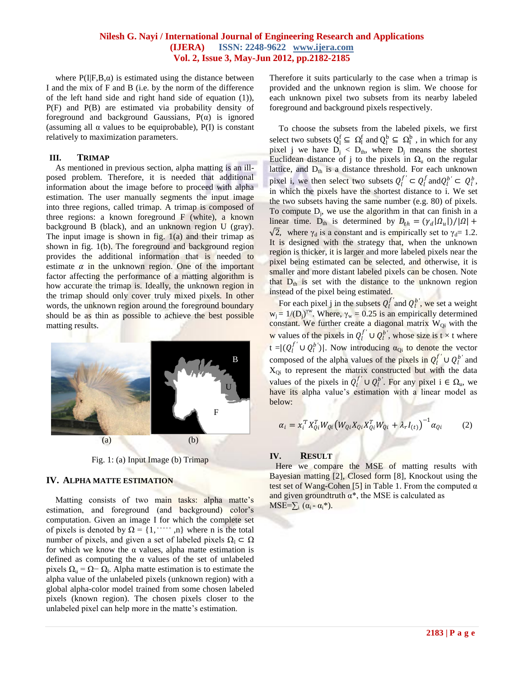## **Nilesh G. Nayi / International Journal of Engineering Research and Applications (IJERA) ISSN: 2248-9622 www.ijera.com Vol. 2, Issue 3, May-Jun 2012, pp.2182-2185**

where  $P(I|F,B,\alpha)$  is estimated using the distance between I and the mix of F and B (i.e. by the norm of the difference of the left hand side and right hand side of equation (1)), P(F) and P(B) are estimated via probability density of foreground and background Gaussians,  $P(\alpha)$  is ignored (assuming all  $\alpha$  values to be equiprobable), P(I) is constant relatively to maximization parameters.

#### **III. TRIMAP**

As mentioned in previous section, alpha matting is an illposed problem. Therefore, it is needed that additional information about the image before to proceed with alpha estimation. The user manually segments the input image into three regions, called trimap. A trimap is composed of three regions: a known foreground F (white), a known background B (black), and an unknown region U (gray). The input image is shown in fig. 1(a) and their trimap as shown in fig. 1(b). The foreground and background region provides the additional information that is needed to estimate  $\alpha$  in the unknown region. One of the important factor affecting the performance of a matting algorithm is how accurate the trimap is. Ideally, the unknown region in the trimap should only cover truly mixed pixels. In other words, the unknown region around the foreground boundary should be as thin as possible to achieve the best possible matting results.



Fig. 1: (a) Input Image (b) Trimap

## **IV. ALPHA MATTE ESTIMATION**

Matting consists of two main tasks: alpha matte's estimation, and foreground (and background) color's computation. Given an image I for which the complete set of pixels is denoted by  $\Omega = \{1, \dots, n\}$  where n is the total number of pixels, and given a set of labeled pixels  $\Omega_1 \subset \Omega$ for which we know the  $\alpha$  values, alpha matte estimation is defined as computing the  $\alpha$  values of the set of unlabeled pixels  $\Omega_{\rm u}$  =  $\Omega$  -  $\Omega_{\rm l}$ . Alpha matte estimation is to estimate the alpha value of the unlabeled pixels (unknown region) with a global alpha-color model trained from some chosen labeled pixels (known region). The chosen pixels closer to the unlabeled pixel can help more in the matte's estimation.

Therefore it suits particularly to the case when a trimap is provided and the unknown region is slim. We choose for each unknown pixel two subsets from its nearby labeled foreground and background pixels respectively.

To choose the subsets from the labeled pixels, we first select two subsets  $Q_1^f \subseteq \Omega_1^f$  and  $Q_1^b \subseteq \Omega_1^b$ , in which for any pixel j we have  $D_j < D_{th}$ , where  $D_j$  means the shortest Euclidean distance of j to the pixels in  $\Omega$ <sub>u</sub> on the regular lattice, and  $D_{th}$  is a distance threshold. For each unknown pixel i, we then select two subsets  $Q_l^{f'} \subset Q_l^f$  and  $Q_l^{b'} \subset Q_l^b$ , in which the pixels have the shortest distance to i. We set the two subsets having the same number (e.g. 80) of pixels. To compute  $D_i$ , we use the algorithm in that can finish in a linear time. D<sub>th</sub> is determined by  $D_{th} = (\gamma_d | \Omega_u|)/|\Omega| +$  $\sqrt{2}$ , where  $\gamma_d$  is a constant and is empirically set to  $\gamma_d=1.2$ . It is designed with the strategy that, when the unknown region is thicker, it is larger and more labeled pixels near the pixel being estimated can be selected, and otherwise, it is smaller and more distant labeled pixels can be chosen. Note that  $D_{th}$  is set with the distance to the unknown region instead of the pixel being estimated.

For each pixel **j** in the subsets  $Q_l^{f'}$  and  $Q_l^{b'}$ , we set a weight  $w_j = 1/(D_j)^{\gamma w}$ . Where,  $\gamma_w = 0.25$  is an empirically determined constant. We further create a diagonal matrix  $W_{Qi}$  with the w values of the pixels in  $Q_l^{f'} \cup Q_l^{b'}$ , whose size is t × t where  $\mathfrak{t} = |(Q_i^{f'} \cup Q_i^{b'})|$ . Now introducing  $\alpha_{Q_i}$  to denote the vector composed of the alpha values of the pixels in  $Q_l^{f'} \cup Q_l^{b'}$  and  $X_{Qi}$  to represent the matrix constructed but with the data values of the pixels in  $Q_l^{f'} \cup Q_l^{b'}$ . For any pixel  $i \in \Omega_u$ , we have its alpha value's estimation with a linear model as below:

$$
\alpha_i = x_i^T X_{Qi}^T W_{Qi} \left( W_{Qi} X_{Qi} X_{Qi}^T W_{Qi} + \lambda_r I_{(t)} \right)^{-1} \alpha_{Qi} \tag{2}
$$

## **IV. RESULT**

Here we compare the MSE of matting results with Bayesian matting [2], Closed form [8], Knockout using the test set of Wang-Cohen [5] in Table 1. From the computed  $\alpha$ and given groundtruth  $\alpha^*$ , the MSE is calculated as MSE= $\sum_i (\alpha_i - \alpha_i^*)$ .